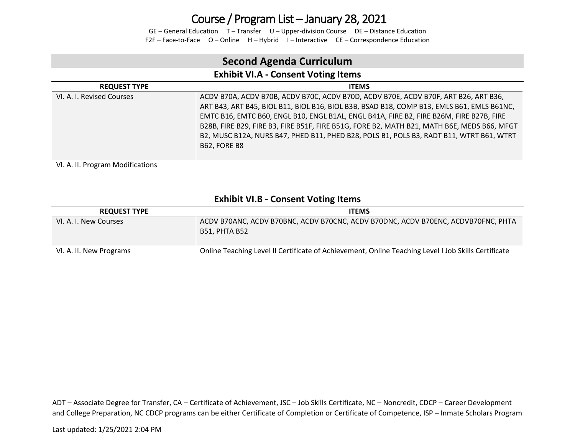GE – General Education T – Transfer U – Upper-division Course DE – Distance Education F2F – Face-to-Face O – Online H – Hybrid I – Interactive CE – Correspondence Education

### **Second Agenda Curriculum**

### **Exhibit VI.A - Consent Voting Items**

| <b>REQUEST TYPE</b>              | <b>ITEMS</b>                                                                                                                                                                                                                                                                                                                                                                                                                                                                                |
|----------------------------------|---------------------------------------------------------------------------------------------------------------------------------------------------------------------------------------------------------------------------------------------------------------------------------------------------------------------------------------------------------------------------------------------------------------------------------------------------------------------------------------------|
| VI. A. I. Revised Courses        | ACDV B70A, ACDV B70B, ACDV B70C, ACDV B70D, ACDV B70E, ACDV B70F, ART B26, ART B36,<br>ART B43, ART B45, BIOL B11, BIOL B16, BIOL B3B, BSAD B18, COMP B13, EMLS B61, EMLS B61NC,<br>EMTC B16, EMTC B60, ENGL B10, ENGL B1AL, ENGL B41A, FIRE B2, FIRE B26M, FIRE B27B, FIRE<br>B28B, FIRE B29, FIRE B3, FIRE B51F, FIRE B51G, FORE B2, MATH B21, MATH B6E, MEDS B66, MFGT<br>B2, MUSC B12A, NURS B47, PHED B11, PHED B28, POLS B1, POLS B3, RADT B11, WTRT B61, WTRT<br><b>B62. FORE B8</b> |
| VI. A. II. Program Modifications |                                                                                                                                                                                                                                                                                                                                                                                                                                                                                             |

#### **Exhibit VI.B - Consent Voting Items**

| <b>REQUEST TYPE</b>     | <b>ITEMS</b>                                                                                        |
|-------------------------|-----------------------------------------------------------------------------------------------------|
| VI. A. I. New Courses   | ACDV B70ANC, ACDV B70BNC, ACDV B70CNC, ACDV B70DNC, ACDV B70ENC, ACDVB70FNC, PHTA<br>B51, PHTA B52  |
| VI. A. II. New Programs | Online Teaching Level II Certificate of Achievement, Online Teaching Level I Job Skills Certificate |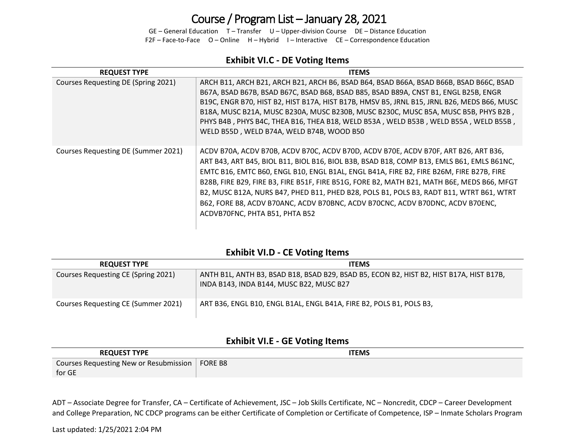GE – General Education T – Transfer U – Upper-division Course DE – Distance Education F2F – Face-to-Face O – Online H – Hybrid I – Interactive CE – Correspondence Education

#### **Exhibit VI.C - DE Voting Items**

| <b>REQUEST TYPE</b>                 | <b>ITEMS</b>                                                                                                                                                                                                                                                                                                                                                                                                                                                                                                                                                                             |
|-------------------------------------|------------------------------------------------------------------------------------------------------------------------------------------------------------------------------------------------------------------------------------------------------------------------------------------------------------------------------------------------------------------------------------------------------------------------------------------------------------------------------------------------------------------------------------------------------------------------------------------|
| Courses Requesting DE (Spring 2021) | ARCH B11, ARCH B21, ARCH B21, ARCH B6, BSAD B64, BSAD B66A, BSAD B66B, BSAD B66C, BSAD<br>B67A, BSAD B67B, BSAD B67C, BSAD B68, BSAD B85, BSAD B89A, CNST B1, ENGL B25B, ENGR<br>B19C, ENGR B70, HIST B2, HIST B17A, HIST B17B, HMSV B5, JRNL B15, JRNL B26, MEDS B66, MUSC<br>B18A, MUSC B21A, MUSC B230A, MUSC B230B, MUSC B230C, MUSC B5A, MUSC B5B, PHYS B2B,<br>PHYS B4B, PHYS B4C, THEA B16, THEA B18, WELD B53A, WELD B53B, WELD B55A, WELD B55B,<br>WELD B55D, WELD B74A, WELD B74B, WOOD B50                                                                                    |
| Courses Requesting DE (Summer 2021) | ACDV B70A, ACDV B70B, ACDV B70C, ACDV B70D, ACDV B70E, ACDV B70F, ART B26, ART B36,<br>ART B43, ART B45, BIOL B11, BIOL B16, BIOL B3B, BSAD B18, COMP B13, EMLS B61, EMLS B61NC,<br>EMTC B16, EMTC B60, ENGL B10, ENGL B1AL, ENGL B41A, FIRE B2, FIRE B26M, FIRE B27B, FIRE<br>B28B, FIRE B29, FIRE B3, FIRE B51F, FIRE B51G, FORE B2, MATH B21, MATH B6E, MEDS B66, MFGT<br>B2, MUSC B12A, NURS B47, PHED B11, PHED B28, POLS B1, POLS B3, RADT B11, WTRT B61, WTRT<br>B62, FORE B8, ACDV B70ANC, ACDV B70BNC, ACDV B70CNC, ACDV B70DNC, ACDV B70ENC,<br>ACDVB70FNC, PHTA B51, PHTA B52 |

### **Exhibit VI.D - CE Voting Items**

| <b>REQUEST TYPE</b>                 | <b>ITEMS</b>                                                                                                                        |
|-------------------------------------|-------------------------------------------------------------------------------------------------------------------------------------|
| Courses Requesting CE (Spring 2021) | ANTH B1L, ANTH B3, BSAD B18, BSAD B29, BSAD B5, ECON B2, HIST B2, HIST B17A, HIST B17B,<br>INDA B143, INDA B144, MUSC B22, MUSC B27 |
| Courses Requesting CE (Summer 2021) | ART B36, ENGL B10, ENGL B1AL, ENGL B41A, FIRE B2, POLS B1, POLS B3,                                                                 |

#### **Exhibit VI.E - GE Voting Items**

| <b>REQUEST TYPE</b>                    | ITEMS          |
|----------------------------------------|----------------|
| Courses Requesting New or Resubmission | <b>FORE B8</b> |
| for GE                                 |                |

ADT – Associate Degree for Transfer, CA – Certificate of Achievement, JSC – Job Skills Certificate, NC – Noncredit, CDCP – Career Development and College Preparation, NC CDCP programs can be either Certificate of Completion or Certificate of Competence, ISP – Inmate Scholars Program

Last updated: 1/25/2021 2:04 PM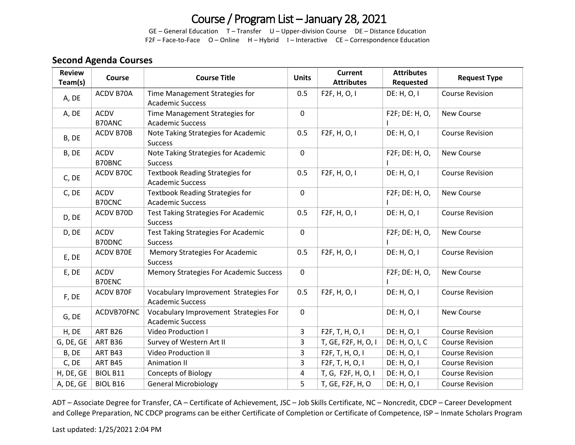GE – General Education T – Transfer U – Upper-division Course DE – Distance Education F2F – Face-to-Face O – Online H – Hybrid I – Interactive CE – Correspondence Education

### **Second Agenda Courses**

| <b>Review</b><br>Team(s) | Course                | <b>Course Title</b>                                               | <b>Units</b>   | <b>Current</b><br><b>Attributes</b> | <b>Attributes</b><br>Requested | <b>Request Type</b>    |
|--------------------------|-----------------------|-------------------------------------------------------------------|----------------|-------------------------------------|--------------------------------|------------------------|
| A, DE                    | ACDV B70A             | Time Management Strategies for<br><b>Academic Success</b>         | 0.5            | F2F, H, O, I                        | DE: H, O, I                    | <b>Course Revision</b> |
| A, DE                    | <b>ACDV</b><br>B70ANC | Time Management Strategies for<br><b>Academic Success</b>         | $\mathbf 0$    |                                     | F2F; DE: H, O,                 | New Course             |
| B, DE                    | ACDV B70B             | Note Taking Strategies for Academic<br><b>Success</b>             | 0.5            | F2F, H, O, I                        | DE: H, O, I                    | <b>Course Revision</b> |
| B, DE                    | <b>ACDV</b><br>B70BNC | Note Taking Strategies for Academic<br><b>Success</b>             | $\mathbf 0$    |                                     | F2F; DE: H, O,                 | <b>New Course</b>      |
| C, DE                    | ACDV B70C             | <b>Textbook Reading Strategies for</b><br><b>Academic Success</b> | 0.5            | F2F, H, O, I                        | DE: H, O, I                    | <b>Course Revision</b> |
| C, DE                    | ACDV<br>B70CNC        | <b>Textbook Reading Strategies for</b><br><b>Academic Success</b> | $\mathbf 0$    |                                     | F2F; DE: H, O,                 | New Course             |
| D, DE                    | ACDV B70D             | <b>Test Taking Strategies For Academic</b><br><b>Success</b>      | 0.5            | F2F, H, O, I                        | DE: H, O, I                    | <b>Course Revision</b> |
| D, DE                    | ACDV<br>B70DNC        | <b>Test Taking Strategies For Academic</b><br><b>Success</b>      | $\mathbf 0$    |                                     | F2F; DE: H, O,                 | New Course             |
| E, DE                    | ACDV B70E             | <b>Memory Strategies For Academic</b><br><b>Success</b>           | 0.5            | F2F, H, O, I                        | DE: H, O, I                    | <b>Course Revision</b> |
| E, DE                    | <b>ACDV</b><br>B70ENC | Memory Strategies For Academic Success                            | $\mathbf 0$    |                                     | F2F; DE: H, O,                 | New Course             |
| F, DE                    | ACDV B70F             | Vocabulary Improvement Strategies For<br><b>Academic Success</b>  | 0.5            | F2F, H, O, I                        | DE: H, O, I                    | <b>Course Revision</b> |
| G, DE                    | ACDVB70FNC            | Vocabulary Improvement Strategies For<br><b>Academic Success</b>  | $\mathsf 0$    |                                     | DE: H, O, I                    | New Course             |
| H, DE                    | ART B26               | Video Production I                                                | 3              | F2F, T, H, O, I                     | DE: H, O, I                    | <b>Course Revision</b> |
| G, DE, GE                | ART B36               | Survey of Western Art II                                          | 3              | T, GE, F2F, H, O, I                 | DE: H, O, I, C                 | <b>Course Revision</b> |
| B, DE                    | ART B43               | <b>Video Production II</b>                                        | 3              | F2F, T, H, O, I                     | DE: H, O, I                    | <b>Course Revision</b> |
| C, DE                    | ART B45               | <b>Animation II</b>                                               | 3              | F2F, T, H, O, I                     | DE: H, O, I                    | <b>Course Revision</b> |
| H, DE, GE                | BIOL B11              | <b>Concepts of Biology</b>                                        | $\overline{a}$ | T, G, F2F, H, O, I                  | DE: H, O, I                    | <b>Course Revision</b> |
| A, DE, GE                | <b>BIOL B16</b>       | <b>General Microbiology</b>                                       | 5              | T, GE, F2F, H, O                    | DE: H, O, I                    | <b>Course Revision</b> |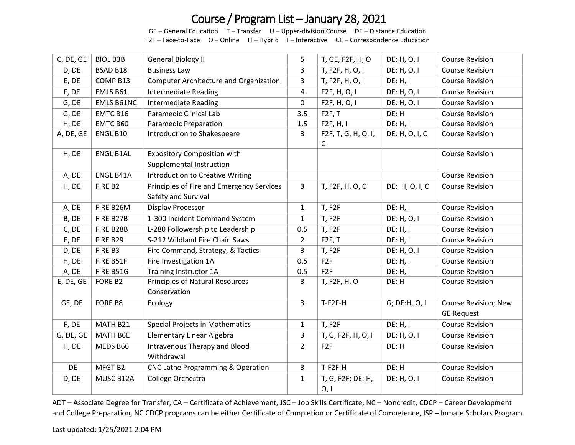GE – General Education T – Transfer U – Upper-division Course DE – Distance Education F2F – Face-to-Face O – Online H – Hybrid I – Interactive CE – Correspondence Education

| C, DE, GE | <b>BIOL B3B</b>  | <b>General Biology II</b>                                        | 5              | T, GE, F2F, H, O          | DE: H, O, I    | <b>Course Revision</b>                    |
|-----------|------------------|------------------------------------------------------------------|----------------|---------------------------|----------------|-------------------------------------------|
| D, DE     | <b>BSAD B18</b>  | <b>Business Law</b>                                              | 3              | T, F2F, H, O, I           | DE: H, O, I    | <b>Course Revision</b>                    |
| E, DE     | COMP B13         | <b>Computer Architecture and Organization</b>                    | 3              | T, F2F, H, O, I           | DE: H, I       | <b>Course Revision</b>                    |
| F, DE     | EMLS B61         | <b>Intermediate Reading</b>                                      | $\overline{4}$ | F2F, H, O, I              | DE: H, O, I    | <b>Course Revision</b>                    |
| G, DE     | EMLS B61NC       | <b>Intermediate Reading</b>                                      | 0              | F <sub>2</sub> F, H, O, I | DE: H, O, I    | <b>Course Revision</b>                    |
| G, DE     | EMTC B16         | Paramedic Clinical Lab                                           | 3.5            | F2F, T                    | DE: H          | <b>Course Revision</b>                    |
| H, DE     | EMTC B60         | <b>Paramedic Preparation</b>                                     | 1.5            | F2F, H, I                 | DE: H, I       | <b>Course Revision</b>                    |
| A, DE, GE | ENGL B10         | Introduction to Shakespeare                                      | $\mathbf{3}$   | F2F, T, G, H, O, I,<br>C  | DE: H, O, I, C | <b>Course Revision</b>                    |
| H, DE     | <b>ENGL B1AL</b> | <b>Expository Composition with</b><br>Supplemental Instruction   |                |                           |                | <b>Course Revision</b>                    |
| A, DE     | ENGL B41A        | <b>Introduction to Creative Writing</b>                          |                |                           |                | <b>Course Revision</b>                    |
| H, DE     | FIRE B2          | Principles of Fire and Emergency Services<br>Safety and Survival | $\overline{3}$ | T, F2F, H, O, C           | DE: H, O, I, C | <b>Course Revision</b>                    |
| A, DE     | FIRE B26M        | Display Processor                                                | $\mathbf{1}$   | T, F2F                    | DE: H, I       | <b>Course Revision</b>                    |
| B, DE     | FIRE B27B        | 1-300 Incident Command System                                    | $\mathbf{1}$   | T, F2F                    | DE: H, O, I    | <b>Course Revision</b>                    |
| C, DE     | FIRE B28B        | L-280 Followership to Leadership                                 | 0.5            | T, F2F                    | DE: H, I       | <b>Course Revision</b>                    |
| E, DE     | <b>FIRE B29</b>  | S-212 Wildland Fire Chain Saws                                   | $\overline{2}$ | F2F, T                    | DE: H, I       | <b>Course Revision</b>                    |
| D, DE     | FIRE B3          | Fire Command, Strategy, & Tactics                                | 3              | T, F2F                    | DE: H, O, I    | <b>Course Revision</b>                    |
| H, DE     | FIRE B51F        | Fire Investigation 1A                                            | 0.5            | F <sub>2F</sub>           | DE: H, I       | <b>Course Revision</b>                    |
| A, DE     | FIRE B51G        | Training Instructor 1A                                           | 0.5            | F <sub>2F</sub>           | DE: H, I       | <b>Course Revision</b>                    |
| E, DE, GE | FORE B2          | <b>Principles of Natural Resources</b><br>Conservation           | 3              | T, F2F, H, O              | DE: H          | <b>Course Revision</b>                    |
| GE, DE    | FORE B8          | Ecology                                                          | $\overline{3}$ | T-F2F-H                   | G; DE:H, O, I  | Course Revision; New<br><b>GE Request</b> |
| F, DE     | MATH B21         | <b>Special Projects in Mathematics</b>                           | $\mathbf{1}$   | <b>T, F2F</b>             | DE: H, I       | <b>Course Revision</b>                    |
| G, DE, GE | MATH B6E         | <b>Elementary Linear Algebra</b>                                 | 3              | T, G, F2F, H, O, I        | DE: H, O, I    | <b>Course Revision</b>                    |
| H, DE     | MEDS B66         | Intravenous Therapy and Blood<br>Withdrawal                      | $\overline{2}$ | F <sub>2F</sub>           | DE: H          | <b>Course Revision</b>                    |
| DE        | MFGT B2          | CNC Lathe Programming & Operation                                | 3              | T-F2F-H                   | DE: H          | <b>Course Revision</b>                    |
| D, DE     | MUSC B12A        | College Orchestra                                                | $\mathbf{1}$   | T, G, F2F; DE: H,<br>0, 1 | DE: H, O, I    | <b>Course Revision</b>                    |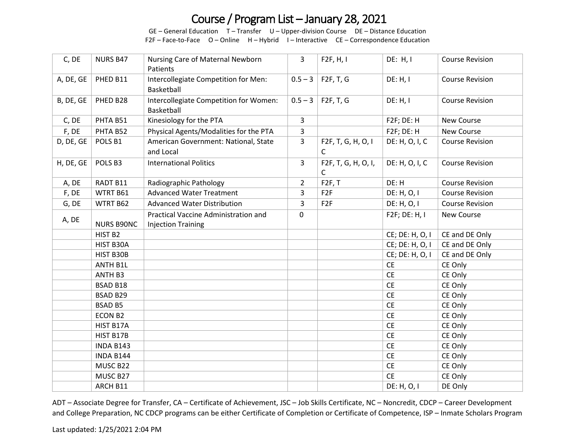GE – General Education T – Transfer U – Upper-division Course DE – Distance Education F2F – Face-to-Face O – Online H – Hybrid I – Interactive CE – Correspondence Education

| C, DE     | <b>NURS B47</b>    | Nursing Care of Maternal Newborn<br>Patients                      | 3              | F2F, H, I                | DE: H, I        | <b>Course Revision</b> |
|-----------|--------------------|-------------------------------------------------------------------|----------------|--------------------------|-----------------|------------------------|
| A, DE, GE | PHED B11           | Intercollegiate Competition for Men:<br>Basketball                | $0.5 - 3$      | F2F, T, G                | DE: H, I        | <b>Course Revision</b> |
| B, DE, GE | PHED B28           | Intercollegiate Competition for Women:<br>Basketball              | $0.5 - 3$      | F2F, T, G                | DE: H, I        | <b>Course Revision</b> |
| C, DE     | PHTA B51           | Kinesiology for the PTA                                           | 3              |                          | F2F; DE: H      | <b>New Course</b>      |
| F, DE     | PHTA B52           | Physical Agents/Modalities for the PTA                            | 3              |                          | F2F; DE: H      | New Course             |
| D, DE, GE | POLS <sub>B1</sub> | American Government: National, State<br>and Local                 | $\overline{3}$ | F2F, T, G, H, O, I<br>C  | DE: H, O, I, C  | <b>Course Revision</b> |
| H, DE, GE | POLS <sub>B3</sub> | <b>International Politics</b>                                     | 3              | F2F, T, G, H, O, I,<br>C | DE: H, O, I, C  | <b>Course Revision</b> |
| A, DE     | RADT B11           | Radiographic Pathology                                            | $\overline{2}$ | F2F, T                   | DE: H           | <b>Course Revision</b> |
| F, DE     | WTRT B61           | <b>Advanced Water Treatment</b>                                   | 3              | F <sub>2F</sub>          | DE: H, O, I     | <b>Course Revision</b> |
| G, DE     | WTRT B62           | <b>Advanced Water Distribution</b>                                | 3              | F <sub>2F</sub>          | DE: H, O, I     | <b>Course Revision</b> |
| A, DE     | <b>NURS B90NC</b>  | Practical Vaccine Administration and<br><b>Injection Training</b> | $\mathbf 0$    |                          | F2F; DE: H, I   | <b>New Course</b>      |
|           | HIST B2            |                                                                   |                |                          | CE; DE: H, O, I | CE and DE Only         |
|           | HIST B30A          |                                                                   |                |                          | CE; DE: H, O, I | CE and DE Only         |
|           | HIST B30B          |                                                                   |                |                          | CE; DE: H, O, I | CE and DE Only         |
|           | <b>ANTH B1L</b>    |                                                                   |                |                          | <b>CE</b>       | CE Only                |
|           | ANTH B3            |                                                                   |                |                          | <b>CE</b>       | CE Only                |
|           | <b>BSAD B18</b>    |                                                                   |                |                          | <b>CE</b>       | CE Only                |
|           | <b>BSAD B29</b>    |                                                                   |                |                          | <b>CE</b>       | CE Only                |
|           | <b>BSAD B5</b>     |                                                                   |                |                          | <b>CE</b>       | CE Only                |
|           | ECON B2            |                                                                   |                |                          | <b>CE</b>       | CE Only                |
|           | HIST B17A          |                                                                   |                |                          | <b>CE</b>       | CE Only                |
|           | HIST B17B          |                                                                   |                |                          | <b>CE</b>       | CE Only                |
|           | <b>INDA B143</b>   |                                                                   |                |                          | <b>CE</b>       | CE Only                |
|           | <b>INDA B144</b>   |                                                                   |                |                          | <b>CE</b>       | CE Only                |
|           | MUSC B22           |                                                                   |                |                          | <b>CE</b>       | CE Only                |
|           | MUSC B27           |                                                                   |                |                          | <b>CE</b>       | CE Only                |
|           | ARCH B11           |                                                                   |                |                          | DE: H, O, I     | DE Only                |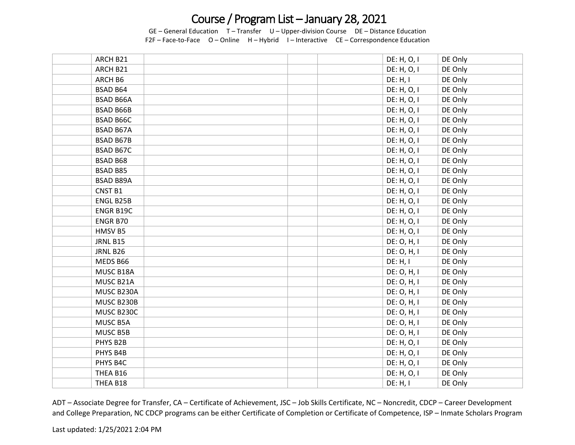GE – General Education T – Transfer U – Upper-division Course DE – Distance Education F2F – Face-to-Face O – Online H – Hybrid I – Interactive CE – Correspondence Education

| ARCH B21         | DE: H, O, I | DE Only |
|------------------|-------------|---------|
| ARCH B21         | DE: H, O, I | DE Only |
| ARCH B6          | DE: H, I    | DE Only |
| <b>BSAD B64</b>  | DE: H, O, I | DE Only |
| <b>BSAD B66A</b> | DE: H, O, I | DE Only |
| <b>BSAD B66B</b> | DE: H, O, I | DE Only |
| <b>BSAD B66C</b> | DE: H, O, I | DE Only |
| <b>BSAD B67A</b> | DE: H, O, I | DE Only |
| <b>BSAD B67B</b> | DE: H, O, I | DE Only |
| <b>BSAD B67C</b> | DE: H, O, I | DE Only |
| BSAD B68         | DE: H, O, I | DE Only |
| <b>BSAD B85</b>  | DE: H, O, I | DE Only |
| <b>BSAD B89A</b> | DE: H, O, I | DE Only |
| <b>CNST B1</b>   | DE: H, O, I | DE Only |
| ENGL B25B        | DE: H, O, I | DE Only |
| ENGR B19C        | DE: H, O, I | DE Only |
| ENGR B70         | DE: H, O, I | DE Only |
| HMSV B5          | DE: H, O, I | DE Only |
| JRNL B15         | DE: O, H, I | DE Only |
| JRNL B26         | DE: O, H, I | DE Only |
| MEDS B66         | DE: H, I    | DE Only |
| MUSC B18A        | DE: 0, H, I | DE Only |
| MUSC B21A        | DE: 0, H, I | DE Only |
| MUSC B230A       | DE: 0, H, I | DE Only |
| MUSC B230B       | DE: 0, H, I | DE Only |
| MUSC B230C       | DE: 0, H, I | DE Only |
| MUSC B5A         | DE: O, H, I | DE Only |
| MUSC B5B         | DE: 0, H, I | DE Only |
| PHYS B2B         | DE: H, O, I | DE Only |
| PHYS B4B         | DE: H, O, I | DE Only |
| PHYS B4C         | DE: H, O, I | DE Only |
| THEA B16         | DE: H, O, I | DE Only |
| THEA B18         | DE: H, I    | DE Only |